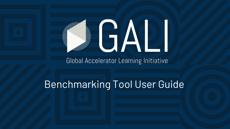# JAI

#### Global Accelerator Learning Initiative

# Benchmarking Tool User Guide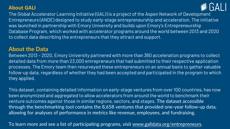#### **About GALI**



The Global Accelerator Learning Initiative (GALI) is a project of the Aspen Network of Development Entrepreneurs (ANDE) designed to study early-stage entrepreneurship and acceleration. The initiative was launched in partnership with Emory University and builds upon Emory's Entrepreneurship Database Program, which worked with accelerator programs around the world between 2013 and 2020 to collect data describing the entrepreneurs that they attract and support.

#### **About the Data**

Between 2013 – 2020, Emory University partnered with more than 360 acceleration programs to collect detailed data from more than 23,000 entrepreneurs that had submitted to their respective application processes. The Emory team then resurveyed these entrepreneurs on an annual basis to gather valuable follow-up data, regardless of whether they had been accepted and participated in the program to which they applied.

This dataset, containing detailed information on early-stage ventures from over 100 countries, has now been anonymized and aggregated to allow accelerators from around the world to benchmark their venture outcomes against those in similar regions, sectors, and stages. The dataset accessible through the benchmarking tool contains the 8,658 ventures that provided one-year follow-up data, allowing for analyses of performance in metrics like revenue, employees, and fundraising.

To learn more and see a list of participating programs, visit [www.galidata.org/entrepreneurs](http://www.galidata.org/entrepreneurs).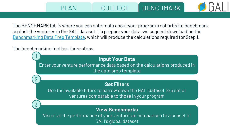PLAN | COLLECT BENCHMARK

The BENCHMARK tab is where you can enter data about your program's cohort(s) to benchmark against the ventures in the GALI dataset. To prepare your data, we suggest downloading the [Benchmarking Data Prep Template](https://www.galidata.org/assets/benchmark/Benchmarking%20Input%20Excel%20Template_v2.xlsx), which will produce the calculations required for Step 1.

The benchmarking tool has three steps:

1

**Input Your Data**  Enter your venture performance data based on the calculations produced in the data prep template **Set Filters**  Use the available filters to narrow down the GALI dataset to a set of ventures comparable to those in your program 2 **View Benchmarks**  Visualize the performance of your ventures in comparison to a subset of GALI's global dataset 3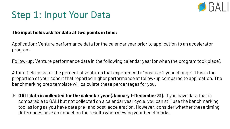

## Step 1: Input Your Data

#### **The input fields ask for data at two points in time:**

Application: Venture performance data for the calendar year prior to application to an accelerator program.

Follow-up: Venture performance data in the following calendar year (or when the program took place).

A third field asks for the percent of ventures that experienced a "positive 1-year change". This is the proportion of your cohort that reported higher performance at follow-up compared to application. The benchmarking prep template will calculate these percentages for you.

➢ **GALI data is collected for the calendar year (January 1-December 31).** If you have data that is comparable to GALI but not collected on a calendar year cycle, you can still use the benchmarking tool as long as you have data pre- and post-acceleration. However, consider whether these timing differences have an impact on the results when viewing your benchmarks.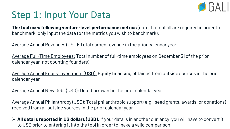

#### Step 1: Input Your Data

**The tool uses following venture-level performance metrics** (note that not all are required in order to benchmark; only input the data for the metrics you wish to benchmark):

Average Annual Revenues (USD): Total earned revenue in the prior calendar year

Average Full-Time Employees: Total number of full-time employees on December 31 of the prior calendar year (not counting founders)

Average Annual Equity Investment (USD): Equity financing obtained from outside sources in the prior calendar year

Average Annual New Debt (USD): Debt borrowed in the prior calendar year

Average Annual Philanthropy (USD): Total philanthropic support (e.g., seed grants, awards, or donations) received from all outside sources in the prior calendar year

➢ **All data is reported in US dollars (USD).** If your data is in another currency, you will have to convert it to USD prior to entering it into the tool in order to make a valid comparison.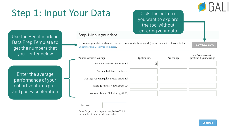# Step 1: Input Your Data

Step 1: Input your data

Benchmarking Data Prep Template.

Click this button if you want to explore the tool without entering your data

Use the Benchmarking Data Prep Template to get the numbers that you'll enter below

Enter the average performance of your cohort ventures preand post-acceleration

| % of ventures with | positive 1-year change | Follow-up | Application | Cohort Venture Average                                                                     |
|--------------------|------------------------|-----------|-------------|--------------------------------------------------------------------------------------------|
|                    |                        |           | 固           | Average Annual Revenues (USD)                                                              |
|                    |                        |           |             | Average Full-Time Employees                                                                |
|                    |                        |           |             | Average Annual Equity Investment (USD)                                                     |
|                    |                        |           |             | Average Annual New Debt (USD)                                                              |
|                    |                        |           |             | Average Annual Philanthropy (USD)                                                          |
|                    |                        |           |             |                                                                                            |
|                    |                        |           |             | Cohort size:                                                                               |
|                    |                        |           |             | Don't forget to add in your sample size! This is<br>the number of ventures in your cohort. |

To prepare your data and create the most appropriate benchmarks, we recommend referring to the

I don't have data.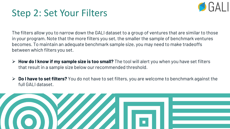

## Step 2: Set Your Filters

The filters allow you to narrow down the GALI dataset to a group of ventures that are similar to those in your program. Note that the more filters you set, the smaller the sample of benchmark ventures becomes. To maintain an adequate benchmark sample size, you may need to make tradeoffs between which filters you set.

- ➢ **How do I know if my sample size is too small?** The tool will alert you when you have set filters that result in a sample size below our recommended threshold.
- ➢ **Do I have to set filters?** You do not have to set filters, you are welcome to benchmark against the full GALI dataset.

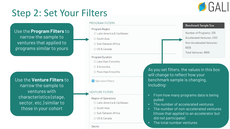

## Step 2: Set Your Filters

Use the **Program Filters** to narrow the sample to ventures that applied to programs similar to yours

Use the **Venture Filters** to narrow the sample to ventures with characteristics (stage, sector, etc.) similar to those in your cohort

#### **PROGRAM FILTERS**

#### Program Region

- □ Latin America & Caribbean
- □ South Asia
- □ Sub-Saharan Africa
- □ US & Canada
- **Program Duration**
- $\Box$  Less than 3 months
- $\Box$  3-6 months
- □ More than 6 months
- See more filters

#### **VENTURE FILTERS**

- Region of Operations
- □ Latin America & Caribbean
- $\Box$  South Asia
- □ Sub-Saharan Africa
- □ US & Canada

Sector

As you set filters, the values in this box will change to reflect how your benchmark sample is changing, including:

- From how many programs data is being pulled
- The number of accelerated ventures
- The number of non-accelerated ventures (those that applied to an accelerator but did not participate)
- The total number ventures

#### Benchmark Sample Size

Number of Programs: 335 Accelerated Ventures: 2153 Non-Accelerated Ventures: 6505 Total Ventures: 8658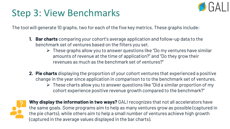

## Step 3: View Benchmarks

The tool will generate 10 graphs, two for each of the five key metrics. These graphs include:

- **1. Bar charts** comparing your cohort's average application and follow-up data to the benchmark set of ventures based on the filters you set.
	- ➢ These graphs allow you to answer questions like "Do my ventures have similar amounts of revenue at the time of application?" and "Do they grow their revenues as much as the benchmark set of ventures?"
- **2. Pie charts** displaying the proportion of your cohort ventures that experienced a positive change in the year since application in comparison to to the benchmark set of ventures.
	- ➢ These charts allow you to answer questions like "Did a similar proportion of my cohort experience positive revenue growth compared to the benchmark?"



**Why display the information in two ways?** GALI recognizes that not all accelerators have the same goals. Some programs aim to help as many ventures grow as possible (captured in the pie charts), while others aim to help a small number of ventures achieve high growth (captured in the average values displayed in the bar charts).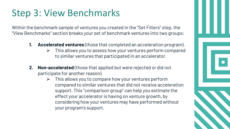# Step 3: View Benchmarks

Within the benchmark sample of ventures you created in the "Set Filters" step, the "View Benchmarks" section breaks your set of benchmark ventures into two groups:

- **1. Accelerated ventures** (those that completed an acceleration program).
	- ➢ This allows you to assess how your ventures perform compared to similar ventures that participated in an accelerator.
- **2. Non-accelerated** (those that applied but were rejected or did not participate for another reason).
	- $\triangleright$  This allows you to compare how your ventures perform compared to similar ventures that did not receive acceleration support. This "comparison group" can help you estimate the effect your accelerator is having on venture growth, by considering how your ventures may have performed without your program's support.

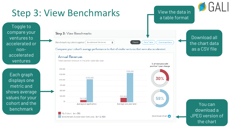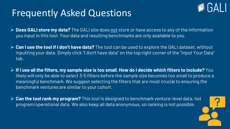## Frequently Asked Questions

- ➢ **Does GALI store my data?** The GALI site does not store or have access to any of the information you input in this tool. Your data and resulting benchmarks are only available to you.
- ➢ **Can I use the tool if I don't have data?** The tool can be used to explore the GALI dataset, without inputting your data. Simply click "I don't have data" on the top right corner of the "Input Your Data" tab.
- ➢ **If I use all the filters, my sample size is too small. How do I decide which filters to include?** You likely will only be able to select 3-5 filters before the sample size becomes too small to produce a meaningful benchmark. We suggest selecting the filters that are most crucial to ensuring the benchmark ventures are similar to your cohort.
- ➢ **Can the tool rank my program?** This tool is designed to benchmark venture-level data, not program/operational data. We also keep all data anonymous, so ranking is not possible.



 $\lceil \cdot \rceil$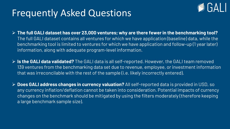#### Frequently Asked Questions



- ➢ **The full GALI dataset has over 23,000 ventures; why are there fewer in the benchmarking tool?**  The full GALI dataset contains all ventures for which we have application (baseline) data, while the benchmarking tool is limited to ventures for which we have application and follow-up (1 year later) information, along with adequate program-level information.
- ➢ **Is the GALI data validated?** The GALI data is all self-reported. However, the GALI team removed 139 ventures from the benchmarking data set due to revenue, employee, or investment information that was irreconcilable with the rest of the sample (i.e. likely incorrectly entered).
- ➢ **Does GALI address changes in currency valuation?** All self-reported data is provided in USD, so any currency inflation/deflation cannot be taken into consideration. Potential impacts of currency changes on the benchmark should be mitigated by using the filters moderately (therefore keeping a large benchmark sample size).